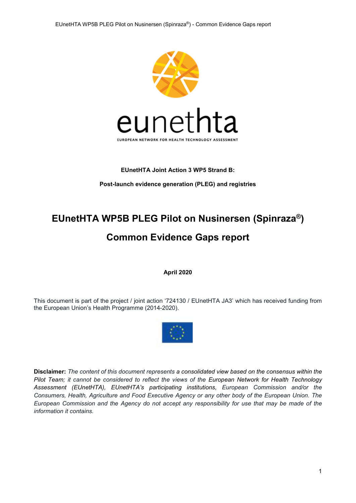

#### EUnetHTA Joint Action 3 WP5 Strand B:

Post-launch evidence generation (PLEG) and registries

# EUnetHTA WP5B PLEG Pilot on Nusinersen (Spinraza®) Common Evidence Gaps report

April 2020

This document is part of the project / joint action '724130 / EUnetHTA JA3' which has received funding from the European Union's Health Programme (2014-2020).



Disclaimer: The content of this document represents a consolidated view based on the consensus within the Pilot Team; it cannot be considered to reflect the views of the European Network for Health Technology Assessment (EUnetHTA), EUnetHTA's participating institutions, European Commission and/or the Consumers, Health, Agriculture and Food Executive Agency or any other body of the European Union. The European Commission and the Agency do not accept any responsibility for use that may be made of the information it contains.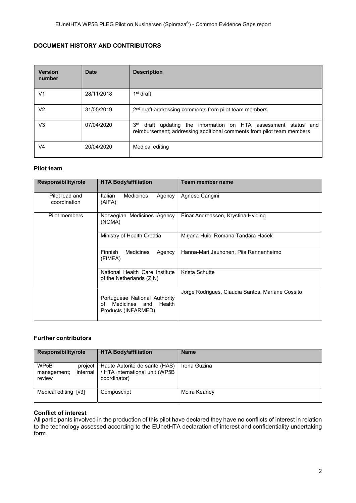### DOCUMENT HISTORY AND CONTRIBUTORS

| <b>Version</b><br>number | <b>Date</b> | <b>Description</b>                                                                                                                                      |
|--------------------------|-------------|---------------------------------------------------------------------------------------------------------------------------------------------------------|
| V <sub>1</sub>           | 28/11/2018  | 1 <sup>st</sup> draft                                                                                                                                   |
| V <sub>2</sub>           | 31/05/2019  | 2 <sup>nd</sup> draft addressing comments from pilot team members                                                                                       |
| V <sub>3</sub>           | 07/04/2020  | 3 <sup>rd</sup><br>draft updating the information on HTA assessment status and<br>reimbursement; addressing additional comments from pilot team members |
| V4                       | 20/04/2020  | Medical editing                                                                                                                                         |

#### Pilot team

| <b>Responsibility/role</b>     | <b>HTA Body/affiliation</b>                                                           | Team member name                                 |
|--------------------------------|---------------------------------------------------------------------------------------|--------------------------------------------------|
| Pilot lead and<br>coordination | Italian<br><b>Medicines</b><br>Agency<br>(AIFA)                                       | Agnese Cangini                                   |
| Pilot members                  | Norwegian Medicines Agency<br>(NOMA)                                                  | Einar Andreassen, Krystina Hviding               |
|                                | Ministry of Health Croatia                                                            | Mirjana Huic, Romana Tandara Haček               |
|                                | <b>Medicines</b><br><b>Finnish</b><br>Agency<br>(FIMEA)                               | Hanna-Mari Jauhonen, Pija Rannanheimo            |
|                                | National Health Care Institute<br>of the Netherlands (ZIN)                            | Krista Schutte                                   |
|                                | Portuguese National Authority<br>Medicines and<br>Health<br>οf<br>Products (INFARMED) | Jorge Rodrigues, Claudia Santos, Mariane Cossito |

### Further contributors

| <b>Responsibility/role</b>               | <b>HTA Body/affiliation</b>                                                                | <b>Name</b>  |  |  |
|------------------------------------------|--------------------------------------------------------------------------------------------|--------------|--|--|
| WP5B<br>project<br>management;<br>review | Haute Autorité de santé (HAS)<br>internal   / HTA international unit (WP5B<br>coordinator) | Irena Guzina |  |  |
| Medical editing [v3]                     | Compuscript                                                                                | Moira Keaney |  |  |

#### Conflict of interest

All participants involved in the production of this pilot have declared they have no conflicts of interest in relation to the technology assessed according to the EUnetHTA declaration of interest and confidentiality undertaking form.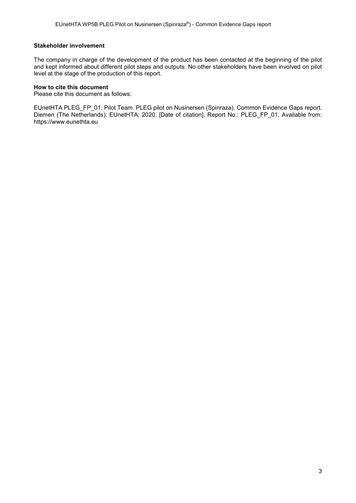#### Stakeholder involvement

The company in charge of the development of the product has been contacted at the beginning of the pilot and kept informed about different pilot steps and outputs. No other stakeholders have been involved on pilot level at the stage of the production of this report.

#### How to cite this document

Please cite this document as follows:

EUnetHTA PLEG\_FP\_01. Pilot Team. PLEG pilot on Nusinersen (Spinraza). Common Evidence Gaps report. Diemen (The Netherlands): EUnetHTA; 2020. [Date of citation]. Report No.: PLEG\_FP\_01. Available from: https://www.eunethta.eu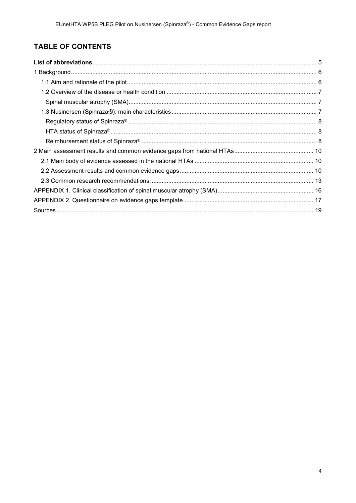# TABLE OF CONTENTS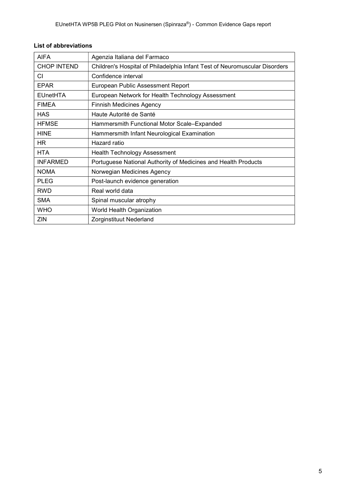| <b>AIFA</b>        | Agenzia Italiana del Farmaco                                               |
|--------------------|----------------------------------------------------------------------------|
| <b>CHOP INTEND</b> | Children's Hospital of Philadelphia Infant Test of Neuromuscular Disorders |
| CI                 | Confidence interval                                                        |
| EPAR               | European Public Assessment Report                                          |
| <b>EUnetHTA</b>    | European Network for Health Technology Assessment                          |
| <b>FIMEA</b>       | <b>Finnish Medicines Agency</b>                                            |
| <b>HAS</b>         | Haute Autorité de Santé                                                    |
| <b>HFMSE</b>       | Hammersmith Functional Motor Scale-Expanded                                |
| <b>HINE</b>        | Hammersmith Infant Neurological Examination                                |
| <b>HR</b>          | Hazard ratio                                                               |
| <b>HTA</b>         | <b>Health Technology Assessment</b>                                        |
| <b>INFARMED</b>    | Portuguese National Authority of Medicines and Health Products             |
| <b>NOMA</b>        | Norwegian Medicines Agency                                                 |
| <b>PLEG</b>        | Post-launch evidence generation                                            |
| <b>RWD</b>         | Real world data                                                            |
| <b>SMA</b>         | Spinal muscular atrophy                                                    |
| <b>WHO</b>         | World Health Organization                                                  |
| ZIN                | Zorginstituut Nederland                                                    |

### List of abbreviations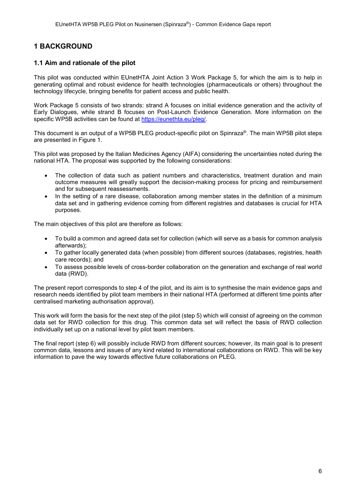# 1 BACKGROUND

#### 1.1 Aim and rationale of the pilot

This pilot was conducted within EUnetHTA Joint Action 3 Work Package 5, for which the aim is to help in generating optimal and robust evidence for health technologies (pharmaceuticals or others) throughout the technology lifecycle, bringing benefits for patient access and public health.

Work Package 5 consists of two strands: strand A focuses on initial evidence generation and the activity of Early Dialogues, while strand B focuses on Post-Launch Evidence Generation. More information on the specific WP5B activities can be found at https://eunethta.eu/pleg/.

This document is an output of a WP5B PLEG product-specific pilot on Spinraza®. The main WP5B pilot steps are presented in Figure 1.

This pilot was proposed by the Italian Medicines Agency (AIFA) considering the uncertainties noted during the national HTA. The proposal was supported by the following considerations:

- The collection of data such as patient numbers and characteristics, treatment duration and main outcome measures will greatly support the decision-making process for pricing and reimbursement and for subsequent reassessments.
- In the setting of a rare disease, collaboration among member states in the definition of a minimum data set and in gathering evidence coming from different registries and databases is crucial for HTA purposes.

The main objectives of this pilot are therefore as follows:

- To build a common and agreed data set for collection (which will serve as a basis for common analysis afterwards);
- To gather locally generated data (when possible) from different sources (databases, registries, health care records); and
- To assess possible levels of cross-border collaboration on the generation and exchange of real world data (RWD).

The present report corresponds to step 4 of the pilot, and its aim is to synthesise the main evidence gaps and research needs identified by pilot team members in their national HTA (performed at different time points after centralised marketing authorisation approval).

This work will form the basis for the next step of the pilot (step 5) which will consist of agreeing on the common data set for RWD collection for this drug. This common data set will reflect the basis of RWD collection individually set up on a national level by pilot team members.

The final report (step 6) will possibly include RWD from different sources; however, its main goal is to present common data, lessons and issues of any kind related to international collaborations on RWD. This will be key information to pave the way towards effective future collaborations on PLEG.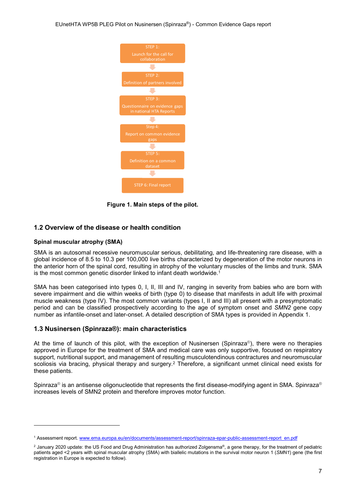

Figure 1. Main steps of the pilot.

#### 1.2 Overview of the disease or health condition

#### Spinal muscular atrophy (SMA)

-

SMA is an autosomal recessive neuromuscular serious, debilitating, and life-threatening rare disease, with a global incidence of 8.5 to 10.3 per 100,000 live births characterized by degeneration of the motor neurons in the anterior horn of the spinal cord, resulting in atrophy of the voluntary muscles of the limbs and trunk. SMA is the most common genetic disorder linked to infant death worldwide.<sup>1</sup>

SMA has been categorised into types 0, I, II, III and IV, ranging in severity from babies who are born with severe impairment and die within weeks of birth (type 0) to disease that manifests in adult life with proximal muscle weakness (type IV). The most common variants (types I, II and III) all present with a presymptomatic period and can be classified prospectively according to the age of symptom onset and SMN2 gene copy number as infantile-onset and later-onset. A detailed description of SMA types is provided in Appendix 1.

#### 1.3 Nusinersen (Spinraza®): main characteristics

At the time of launch of this pilot, with the exception of Nusinersen (Spinraza®), there were no therapies approved in Europe for the treatment of SMA and medical care was only supportive, focused on respiratory support, nutritional support, and management of resulting musculotendinous contractures and neuromuscular scoliosis via bracing, physical therapy and surgery.<sup>2</sup> Therefore, a significant unmet clinical need exists for these patients.

Spinraza® is an antisense oligonucleotide that represents the first disease-modifying agent in SMA. Spinraza® increases levels of SMN2 protein and therefore improves motor function.

<sup>&</sup>lt;sup>1</sup> Assessment report. www.ema.europa.eu/en/documents/assessment-report/spinraza-epar-public-assessment-report\_en.pdf

 $^2$  January 2020 update: the US Food and Drug Administration has authorized Zolgensma®, a gene therapy, for the treatment of pediatric patients aged <2 years with spinal muscular atrophy (SMA) with biallelic mutations in the survival motor neuron 1 (SMN1) gene (the first registration in Europe is expected to follow).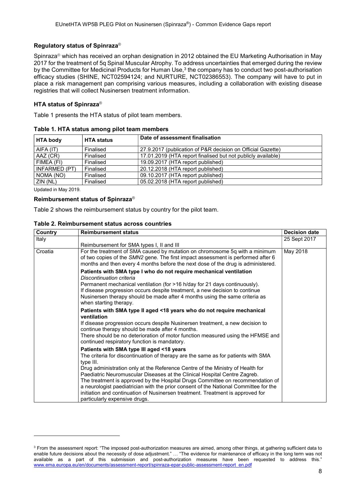#### Regulatory status of Spinraza®

Spinraza® which has received an orphan designation in 2012 obtained the EU Marketing Authorisation in May 2017 for the treatment of 5q Spinal Muscular Atrophy. To address uncertainties that emerged during the review by the Committee for Medicinal Products for Human Use, $3$  the company has to conduct two post-authorisation efficacy studies (SHINE, NCT02594124; and NURTURE, NCT02386553). The company will have to put in place a risk management pan comprising various measures, including a collaboration with existing disease registries that will collect Nusinersen treatment information.

#### HTA status of Spinraza®

Table 1 presents the HTA status of pilot team members.

| <b>HTA body</b> | <b>HTA status</b> | Date of assessment finalisation                              |  |  |  |  |
|-----------------|-------------------|--------------------------------------------------------------|--|--|--|--|
| AIFA (IT)       | Finalised         | 27.9.2017 (publication of P&R decision on Official Gazette)  |  |  |  |  |
| AAZ (CR)        | Finalised         | 17.01.2019 (HTA report finalised but not publicly available) |  |  |  |  |
| FIMEA (FI)      | Finalised         | 19.09.2017 (HTA report published)                            |  |  |  |  |
| INFARMED (PT)   | Finalised         | 20.12.2018 (HTA report published)                            |  |  |  |  |
| NOMA (NO)       | Finalised         | 09.10.2017 (HTA report published)                            |  |  |  |  |
| $ZIN$ (NL)      | Finalised         | 05.02.2018 (HTA report published)                            |  |  |  |  |

Table 1. HTA status among pilot team members

Updated in May 2019.

-

#### Reimbursement status of Spinraza®

Table 2 shows the reimbursement status by country for the pilot team.

#### Table 2. Reimbursement status across countries

| Country | <b>Reimbursement status</b>                                                                                                                                                                                                                                        | <b>Decision date</b> |
|---------|--------------------------------------------------------------------------------------------------------------------------------------------------------------------------------------------------------------------------------------------------------------------|----------------------|
| Italy   |                                                                                                                                                                                                                                                                    | 25 Sept 2017         |
|         | Reimbursement for SMA types I, II and III                                                                                                                                                                                                                          |                      |
| Croatia | For the treatment of SMA caused by mutation on chromosome 5q with a minimum<br>of two copies of the SMN2 gene. The first impact assessment is performed after 6<br>months and then every 4 months before the next dose of the drug is administered.                | May 2018             |
|         | Patients with SMA type I who do not require mechanical ventilation<br>Discontinuation criteria                                                                                                                                                                     |                      |
|         | Permanent mechanical ventilation (for >16 h/day for 21 days continuously).<br>If disease progression occurs despite treatment, a new decision to continue<br>Nusinersen therapy should be made after 4 months using the same criteria as<br>when starting therapy. |                      |
|         | Patients with SMA type II aged <18 years who do not require mechanical<br>ventilation                                                                                                                                                                              |                      |
|         | If disease progression occurs despite Nusinersen treatment, a new decision to<br>continue therapy should be made after 4 months.                                                                                                                                   |                      |
|         | There should be no deterioration of motor function measured using the HFMSE and<br>continued respiratory function is mandatory.                                                                                                                                    |                      |
|         | Patients with SMA type III aged <18 years                                                                                                                                                                                                                          |                      |
|         | The criteria for discontinuation of therapy are the same as for patients with SMA<br>type III.                                                                                                                                                                     |                      |
|         | Drug administration only at the Reference Centre of the Ministry of Health for                                                                                                                                                                                     |                      |
|         | Paediatric Neuromuscular Diseases at the Clinical Hospital Centre Zagreb.<br>The treatment is approved by the Hospital Drugs Committee on recommendation of                                                                                                        |                      |
|         | a neurologist paediatrician with the prior consent of the National Committee for the                                                                                                                                                                               |                      |
|         | initiation and continuation of Nusinersen treatment. Treatment is approved for                                                                                                                                                                                     |                      |
|         | particularly expensive drugs.                                                                                                                                                                                                                                      |                      |

 $^3$  From the assessment report: "The imposed post-authorization measures are aimed, among other things, at gathering sufficient data to enable future decisions about the necessity of dose adjustment." ... "The evidence for maintenance of efficacy in the long term was not available as a part of this submission and post-authorization measures have been requested to address this." www.ema.europa.eu/en/documents/assessment-report/spinraza-epar-public-assessment-report\_en.pdf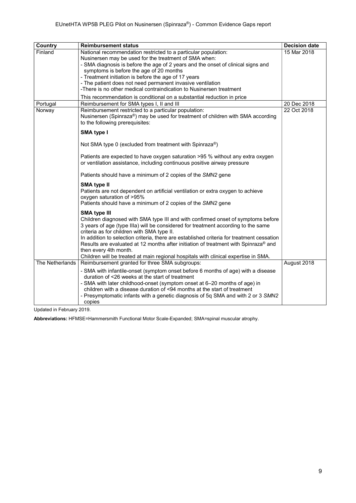| Country         | <b>Reimbursement status</b>                                                                                                                                                                                                                                                                                                                                                                                                                                                                                                                    | <b>Decision date</b> |
|-----------------|------------------------------------------------------------------------------------------------------------------------------------------------------------------------------------------------------------------------------------------------------------------------------------------------------------------------------------------------------------------------------------------------------------------------------------------------------------------------------------------------------------------------------------------------|----------------------|
| Finland         | National recommendation restricted to a particular population:<br>Nusinersen may be used for the treatment of SMA when:<br>- SMA diagnosis is before the age of 2 years and the onset of clinical signs and<br>symptoms is before the age of 20 months<br>- Treatment initiation is before the age of 17 years<br>- The patient does not need permanent invasive ventilation<br>-There is no other medical contraindication to Nusinersen treatment                                                                                            | 15 Mar 2018          |
|                 | This recommendation is conditional on a substantial reduction in price                                                                                                                                                                                                                                                                                                                                                                                                                                                                         |                      |
| Portugal        | Reimbursement for SMA types I, II and III                                                                                                                                                                                                                                                                                                                                                                                                                                                                                                      | 20 Dec 2018          |
| Norway          | Reimbursement restricted to a particular population:<br>Nusinersen (Spinraza®) may be used for treatment of children with SMA according<br>to the following prerequisites:                                                                                                                                                                                                                                                                                                                                                                     | 22 Oct 2018          |
|                 | <b>SMA type I</b>                                                                                                                                                                                                                                                                                                                                                                                                                                                                                                                              |                      |
|                 | Not SMA type 0 (excluded from treatment with Spinraza®)                                                                                                                                                                                                                                                                                                                                                                                                                                                                                        |                      |
|                 | Patients are expected to have oxygen saturation >95 % without any extra oxygen<br>or ventilation assistance, including continuous positive airway pressure                                                                                                                                                                                                                                                                                                                                                                                     |                      |
|                 | Patients should have a minimum of 2 copies of the SMN2 gene                                                                                                                                                                                                                                                                                                                                                                                                                                                                                    |                      |
|                 | <b>SMA type II</b><br>Patients are not dependent on artificial ventilation or extra oxygen to achieve<br>oxygen saturation of >95%<br>Patients should have a minimum of 2 copies of the SMN2 gene                                                                                                                                                                                                                                                                                                                                              |                      |
|                 | <b>SMA type III</b><br>Children diagnosed with SMA type III and with confirmed onset of symptoms before<br>3 years of age (type IIIa) will be considered for treatment according to the same<br>criteria as for children with SMA type II.<br>In addition to selection criteria, there are established criteria for treatment cessation<br>Results are evaluated at 12 months after initiation of treatment with Spinraza® and<br>then every 4th month.<br>Children will be treated at main regional hospitals with clinical expertise in SMA. |                      |
| The Netherlands | Reimbursement granted for three SMA subgroups:                                                                                                                                                                                                                                                                                                                                                                                                                                                                                                 | August 2018          |
|                 | - SMA with infantile-onset (symptom onset before 6 months of age) with a disease<br>duration of <26 weeks at the start of treatment<br>- SMA with later childhood-onset (symptom onset at 6-20 months of age) in<br>children with a disease duration of <94 months at the start of treatment<br>- Presymptomatic infants with a genetic diagnosis of 5q SMA and with 2 or 3 SMN2<br>copies                                                                                                                                                     |                      |

Updated in February 2019.

Abbreviations: HFMSE=Hammersmith Functional Motor Scale-Expanded; SMA=spinal muscular atrophy.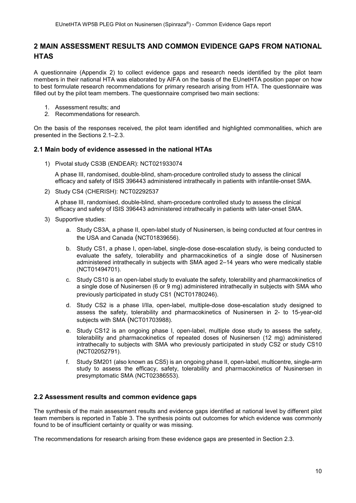## 2 MAIN ASSESSMENT RESULTS AND COMMON EVIDENCE GAPS FROM NATIONAL **HTAS**

A questionnaire (Appendix 2) to collect evidence gaps and research needs identified by the pilot team members in their national HTA was elaborated by AIFA on the basis of the EUnetHTA position paper on how to best formulate research recommendations for primary research arising from HTA. The questionnaire was filled out by the pilot team members. The questionnaire comprised two main sections:

- 1. Assessment results; and
- 2. Recommendations for research.

On the basis of the responses received, the pilot team identified and highlighted commonalities, which are presented in the Sections 2.1–2.3.

#### 2.1 Main body of evidence assessed in the national HTAs

1) Pivotal study CS3B (ENDEAR): NCT021933074

A phase III, randomised, double-blind, sham-procedure controlled study to assess the clinical efficacy and safety of ISIS 396443 administered intrathecally in patients with infantile-onset SMA.

2) Study CS4 (CHERISH): NCT02292537

A phase III, randomised, double-blind, sham-procedure controlled study to assess the clinical efficacy and safety of ISIS 396443 administered intrathecally in patients with later-onset SMA.

- 3) Supportive studies:
	- a. Study CS3A, a phase II, open-label study of Nusinersen, is being conducted at four centres in the USA and Canada (NCT01839656).
	- b. Study CS1, a phase I, open-label, single-dose dose-escalation study, is being conducted to evaluate the safety, tolerability and pharmacokinetics of a single dose of Nusinersen administered intrathecally in subjects with SMA aged 2–14 years who were medically stable (NCT01494701).
	- c. Study CS10 is an open-label study to evaluate the safety, tolerability and pharmacokinetics of a single dose of Nusinersen (6 or 9 mg) administered intrathecally in subjects with SMA who previously participated in study CS1 (NCT01780246).
	- d. Study CS2 is a phase I/IIa, open-label, multiple-dose dose-escalation study designed to assess the safety, tolerability and pharmacokinetics of Nusinersen in 2- to 15-year-old subjects with SMA (NCT01703988).
	- e. Study CS12 is an ongoing phase I, open-label, multiple dose study to assess the safety, tolerability and pharmacokinetics of repeated doses of Nusinersen (12 mg) administered intrathecally to subjects with SMA who previously participated in study CS2 or study CS10 (NCT02052791).
	- f. Study SM201 (also known as CS5) is an ongoing phase II, open-label, multicentre, single-arm study to assess the efficacy, safety, tolerability and pharmacokinetics of Nusinersen in presymptomatic SMA (NCT02386553).

#### 2.2 Assessment results and common evidence gaps

The synthesis of the main assessment results and evidence gaps identified at national level by different pilot team members is reported in Table 3. The synthesis points out outcomes for which evidence was commonly found to be of insufficient certainty or quality or was missing.

The recommendations for research arising from these evidence gaps are presented in Section 2.3.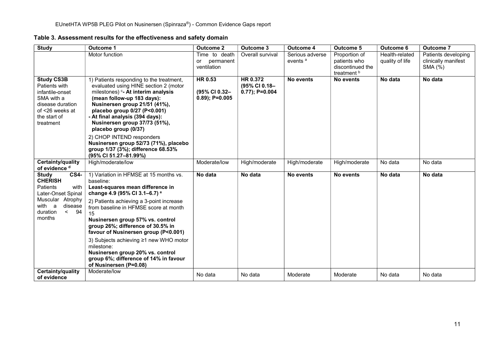Table 3. Assessment results for the effectiveness and safety domain

| <b>Study</b>                                                                                                                            | <b>Outcome 1</b>                                                                                                                                                                                                                                                                                                               | <b>Outcome 2</b>                                | <b>Outcome 3</b>                               | <b>Outcome 4</b>                       | <b>Outcome 5</b>                                                 | Outcome 6                         | <b>Outcome 7</b>                                      |
|-----------------------------------------------------------------------------------------------------------------------------------------|--------------------------------------------------------------------------------------------------------------------------------------------------------------------------------------------------------------------------------------------------------------------------------------------------------------------------------|-------------------------------------------------|------------------------------------------------|----------------------------------------|------------------------------------------------------------------|-----------------------------------|-------------------------------------------------------|
|                                                                                                                                         | Motor function                                                                                                                                                                                                                                                                                                                 | Time to death<br>permanent<br>or<br>ventilation | Overall survival                               | Serious adverse<br>events <sup>a</sup> | Proportion of<br>patients who<br>discontinued the<br>treatment b | Health-related<br>quality of life | Patients developing<br>clinically manifest<br>SMA (%) |
| <b>Study CS3B</b><br>Patients with<br>infantile-onset<br>SMA with a<br>disease duration<br>of <26 weeks at<br>the start of<br>treatment | 1) Patients responding to the treatment,<br>evaluated using HINE section 2 (motor<br>milestones) <sup>c</sup> - At interim analysis<br>(mean follow-up 183 days):<br>Nusinersen group 21/51 (41%),<br>placebo group 0/27 (P<0.001)<br>- At final analysis (394 days):<br>Nusinersen group 37/73 (51%),<br>placebo group (0/37) | HR 0.53<br>(95% CI 0.32-<br>$0.89$ ; P=0.005    | HR 0.372<br>(95% CI 0.18-<br>$0.77$ ); P=0.004 | No events                              | No events                                                        | No data                           | No data                                               |
|                                                                                                                                         | 2) CHOP INTEND responders<br>Nusinersen group 52/73 (71%), placebo<br>group 1/37 (3%); difference 68.53%<br>(95% CI 51.27-81.99%)                                                                                                                                                                                              |                                                 |                                                |                                        |                                                                  |                                   |                                                       |
| Certainty/quality<br>of evidence <sup>d</sup>                                                                                           | High/moderate/low                                                                                                                                                                                                                                                                                                              | Moderate/low                                    | High/moderate                                  | High/moderate                          | High/moderate                                                    | No data                           | No data                                               |
| <b>CS4-</b><br><b>Study</b><br><b>CHERISH</b><br>Patients<br>with<br>Later-Onset Spinal                                                 | 1) Variation in HFMSE at 15 months vs.<br>baseline:<br>Least-squares mean difference in<br>change 4.9 (95% CI 3.1-6.7) <sup>e</sup>                                                                                                                                                                                            | No data                                         | No data                                        | No events                              | No events                                                        | No data                           | No data                                               |
| Muscular Atrophy<br>with a<br>disease<br>duration<br>$\leq$ 94<br>months                                                                | 2) Patients achieving a 3-point increase<br>from baseline in HFMSE score at month<br>15<br>Nusinersen group 57% vs. control<br>group 26%; difference of 30.5% in<br>favour of Nusinersen group (P<0.001)                                                                                                                       |                                                 |                                                |                                        |                                                                  |                                   |                                                       |
|                                                                                                                                         | 3) Subjects achieving ≥1 new WHO motor<br>milestone:<br>Nusinersen group 20% vs. control<br>group 6%; difference of 14% in favour<br>of Nusinersen (P=0.08)                                                                                                                                                                    |                                                 |                                                |                                        |                                                                  |                                   |                                                       |
| Certainty/quality<br>of evidence                                                                                                        | Moderate/low                                                                                                                                                                                                                                                                                                                   | No data                                         | No data                                        | Moderate                               | Moderate                                                         | No data                           | No data                                               |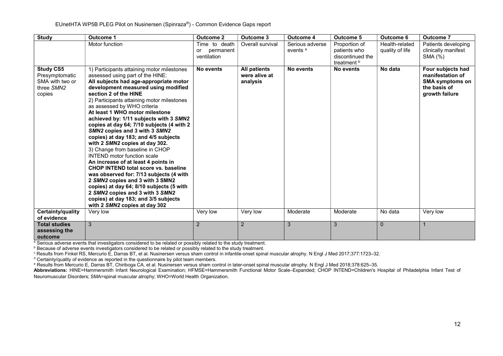| <b>Study</b>                                                                  | <b>Outcome 1</b>                                                                                                                                                                                                                                                                                                                                                                                                                                                                                                                                                                                                                                                                                                                                                                                                                                                                                               | <b>Outcome 2</b>                                | Outcome 3                                        | <b>Outcome 4</b>                       | <b>Outcome 5</b>                                                 | <b>Outcome 6</b>                  | <b>Outcome 7</b>                                                                                  |
|-------------------------------------------------------------------------------|----------------------------------------------------------------------------------------------------------------------------------------------------------------------------------------------------------------------------------------------------------------------------------------------------------------------------------------------------------------------------------------------------------------------------------------------------------------------------------------------------------------------------------------------------------------------------------------------------------------------------------------------------------------------------------------------------------------------------------------------------------------------------------------------------------------------------------------------------------------------------------------------------------------|-------------------------------------------------|--------------------------------------------------|----------------------------------------|------------------------------------------------------------------|-----------------------------------|---------------------------------------------------------------------------------------------------|
|                                                                               | Motor function                                                                                                                                                                                                                                                                                                                                                                                                                                                                                                                                                                                                                                                                                                                                                                                                                                                                                                 | Time to death<br>permanent<br>or<br>ventilation | Overall survival                                 | Serious adverse<br>events <sup>a</sup> | Proportion of<br>patients who<br>discontinued the<br>treatment b | Health-related<br>quality of life | Patients developing<br>clinically manifest<br>SMA (%)                                             |
| <b>Study CS5</b><br>Presymptomatic<br>SMA with two or<br>three SMN2<br>copies | 1) Participants attaining motor milestones<br>assessed using part of the HINE:<br>All subjects had age-appropriate motor<br>development measured using modified<br>section 2 of the HINE<br>2) Participants attaining motor milestones<br>as assessed by WHO criteria<br>At least 1 WHO motor milestone<br>achieved by: 1/11 subjects with 3 SMN2<br>copies at day 64; 7/10 subjects (4 with 2<br>SMN2 copies and 3 with 3 SMN2<br>copies) at day 183; and 4/5 subjects<br>with 2 SMN2 copies at day 302.<br>3) Change from baseline in CHOP<br><b>INTEND</b> motor function scale<br>An increase of at least 4 points in<br><b>CHOP INTEND total score vs. baseline</b><br>was observed for: 7/13 subjects (4 with<br>2 SMN2 copies and 3 with 3 SMN2<br>copies) at day 64; 8/10 subjects (5 with<br>2 SMN2 copies and 3 with 3 SMN2<br>copies) at day 183; and 3/5 subjects<br>with 2 SMN2 copies at day 302 | No events                                       | <b>All patients</b><br>were alive at<br>analysis | No events                              | No events                                                        | No data                           | Four subjects had<br>manifestation of<br><b>SMA symptoms on</b><br>the basis of<br>growth failure |
| Certainty/quality<br>of evidence                                              | Very low                                                                                                                                                                                                                                                                                                                                                                                                                                                                                                                                                                                                                                                                                                                                                                                                                                                                                                       | Very low                                        | Very low                                         | Moderate                               | Moderate                                                         | No data                           | Very low                                                                                          |
| <b>Total studies</b><br>assessing the<br>outcome                              | 3                                                                                                                                                                                                                                                                                                                                                                                                                                                                                                                                                                                                                                                                                                                                                                                                                                                                                                              | $\overline{2}$                                  | 2                                                | 3                                      | 3                                                                | $\mathbf{0}$                      |                                                                                                   |

<sup>a</sup> Serious adverse events that investigators considered to be related or possibly related to the study treatment.

**Because of adverse events investigators considered to be related or possibly related to the study treatment.** 

c Results from Finkel RS, Mercurio E, Darras BT, et al. Nusinersen versus sham control in infantile-onset spinal muscular atrophy. N Engl J Med 2017;377:1723–32.

<sup>d</sup> Certainty/quality of evidence as reported in the questionnaire by pilot team members.

e Results from Mercurio E, Darras BT, Chiriboga CA, et al. Nusinersen versus sham control in later-onset spinal muscular atrophy. N Engl J Med 2018;378:625–35.

Abbreviations: HINE=Hammersmith Infant Neurological Examination; HFMSE=Hammersmith Functional Motor Scale–Expanded; CHOP INTEND=Children's Hospital of Philadelphia Infant Test of Neuromuscular Disorders; SMA=spinal muscular atrophy; WHO=World Health Organization.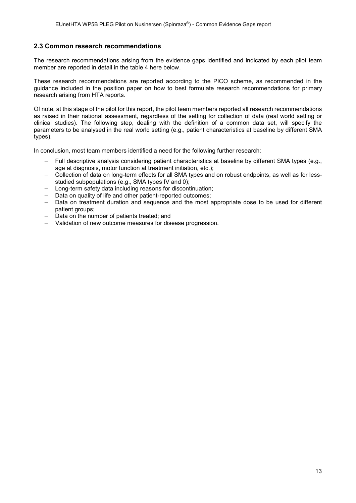#### 2.3 Common research recommendations

The research recommendations arising from the evidence gaps identified and indicated by each pilot team member are reported in detail in the table 4 here below.

These research recommendations are reported according to the PICO scheme, as recommended in the guidance included in the position paper on how to best formulate research recommendations for primary research arising from HTA reports.

Of note, at this stage of the pilot for this report, the pilot team members reported all research recommendations as raised in their national assessment, regardless of the setting for collection of data (real world setting or clinical studies). The following step, dealing with the definition of a common data set, will specify the parameters to be analysed in the real world setting (e.g., patient characteristics at baseline by different SMA types).

In conclusion, most team members identified a need for the following further research:

- Full descriptive analysis considering patient characteristics at baseline by different SMA types (e.g., age at diagnosis, motor function at treatment initiation, etc.);
- Collection of data on long-term effects for all SMA types and on robust endpoints, as well as for lessstudied subpopulations (e.g., SMA types IV and 0);
- Long-term safety data including reasons for discontinuation;
- Data on quality of life and other patient-reported outcomes;
- Data on treatment duration and sequence and the most appropriate dose to be used for different patient groups;
- Data on the number of patients treated; and
- Validation of new outcome measures for disease progression.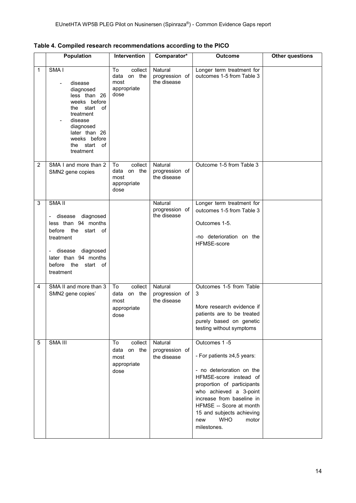|                | <b>Population</b>                                                                                                                                                                                 | Intervention                                                   | Comparator*                                     | <b>Outcome</b>                                                                                                                                                                                                                                                                              | <b>Other questions</b> |
|----------------|---------------------------------------------------------------------------------------------------------------------------------------------------------------------------------------------------|----------------------------------------------------------------|-------------------------------------------------|---------------------------------------------------------------------------------------------------------------------------------------------------------------------------------------------------------------------------------------------------------------------------------------------|------------------------|
| 1              | SMA <sub>I</sub><br>disease<br>diagnosed<br>less than 26<br>weeks before<br>the start of<br>treatment<br>disease<br>diagnosed<br>later than 26<br>weeks before<br>start<br>of<br>the<br>treatment | collect<br>To<br>data on the<br>most<br>appropriate<br>dose    | Natural<br>progression of<br>the disease        | Longer term treatment for<br>outcomes 1-5 from Table 3                                                                                                                                                                                                                                      |                        |
| $\overline{2}$ | SMA I and more than 2<br>SMN2 gene copies                                                                                                                                                         | collect<br>To<br>data on the<br>most<br>appropriate<br>dose    | Natural<br>progression of<br>the disease        | Outcome 1-5 from Table 3                                                                                                                                                                                                                                                                    |                        |
| 3              | SMA <sub>II</sub><br>diagnosed<br>- disease<br>less than 94 months<br>before the<br>start of<br>treatment<br>diagnosed<br>disease<br>later than 94 months<br>before the<br>start of<br>treatment  |                                                                | Natural<br>progression of<br>the disease        | Longer term treatment for<br>outcomes 1-5 from Table 3<br>Outcomes 1-5.<br>-no deterioration on the<br>HFMSE-score                                                                                                                                                                          |                        |
| 4              | SMA II and more than 3<br>SMN2 gene copies'                                                                                                                                                       | To<br>collect<br>data on the<br>most<br>appropriate<br>dose    | <b>Natural</b><br>progression of<br>the disease | Outcomes 1-5 from Table<br>3<br>More research evidence if<br>patients are to be treated<br>purely based on genetic<br>testing without symptoms                                                                                                                                              |                        |
| 5              | SMA III                                                                                                                                                                                           | collect<br>To<br>on the<br>data<br>most<br>appropriate<br>dose | Natural<br>progression of<br>the disease        | Outcomes 1-5<br>- For patients ≥4,5 years:<br>- no deterioration on the<br>HFMSE-score instead of<br>proportion of participants<br>who achieved a 3-point<br>increase from baseline in<br>HFMSE -- Score at month<br>15 and subjects achieving<br><b>WHO</b><br>new<br>motor<br>milestones. |                        |

Table 4. Compiled research recommendations according to the PICO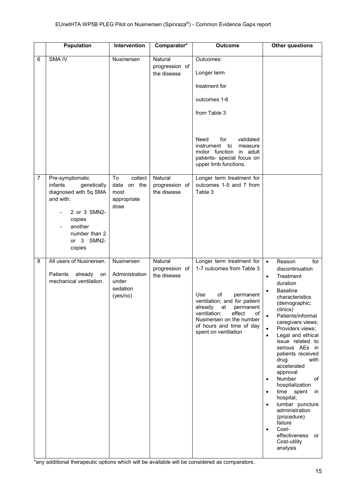|                | <b>Population</b>                                                                                                                                             | Intervention                                                   | Comparator*                              | <b>Outcome</b>                                                                                                                                                                                                                                                 | <b>Other questions</b>                                                                                                                                                                                                                                                                                                                                                                                                                                                                                                                                                                                                                 |
|----------------|---------------------------------------------------------------------------------------------------------------------------------------------------------------|----------------------------------------------------------------|------------------------------------------|----------------------------------------------------------------------------------------------------------------------------------------------------------------------------------------------------------------------------------------------------------------|----------------------------------------------------------------------------------------------------------------------------------------------------------------------------------------------------------------------------------------------------------------------------------------------------------------------------------------------------------------------------------------------------------------------------------------------------------------------------------------------------------------------------------------------------------------------------------------------------------------------------------------|
| 6              | <b>SMA IV</b>                                                                                                                                                 | Nusinersen                                                     | Natural<br>progression of<br>the disease | Outcomes:<br>Longer term<br>treatment for<br>outcomes 1-6<br>from Table 3<br>Need<br>for<br>validated<br>instrument<br>to<br>measure<br>motor function in adult<br>patients- special focus on<br>upper limb functions.                                         |                                                                                                                                                                                                                                                                                                                                                                                                                                                                                                                                                                                                                                        |
| $\overline{7}$ | Pre-symptomatic<br>infants<br>genetically<br>diagnosed with 5q SMA<br>and with:<br>2 or 3 SMN2-<br>copies<br>another<br>number than 2<br>or 3 SMN2-<br>copies | collect<br>To<br>on the<br>data<br>most<br>appropriate<br>dose | Natural<br>progression of<br>the disease | Longer term treatment for<br>outcomes 1-5 and 7 from<br>Table 3                                                                                                                                                                                                |                                                                                                                                                                                                                                                                                                                                                                                                                                                                                                                                                                                                                                        |
| 8              | All users of Nusinersen.<br>Patients<br>already<br>on<br>mechanical ventilation.                                                                              | Nusinersen<br>Administration<br>under<br>sedation<br>(yes/no)  | Natural<br>progression of<br>the disease | Longer term treatment for<br>1-7 outcomes from Table 3<br>of<br>Use<br>permanent<br>ventilation; and for patient<br>already<br>permanent<br>at<br>ventilation:<br>effect<br>of<br>Nusinersen on the number<br>of hours and time of day<br>spent on ventilation | for<br>Reason<br>$\bullet$<br>discontinuation<br>Treatment<br>$\bullet$<br>duration<br><b>Baseline</b><br>characteristics<br>(demographic;<br>clinics)<br>Patients/informal<br>$\bullet$<br>caregivers views;<br>Providers views;<br>$\bullet$<br>Legal and ethical<br>$\bullet$<br>issue related to<br>serious AEs in<br>patients received<br>drug<br>with<br>accelerated<br>approval<br>Number<br>of<br>$\bullet$<br>hospitalization<br>time spent<br>in<br>$\bullet$<br>hospital;<br>lumbar puncture<br>$\bullet$<br>administration<br>(procedure)<br>failure<br>Cost-<br>$\bullet$<br>effectiveness or<br>Cost-utility<br>analysis |

\*any additional therapeutic options which will be available will be considered as comparators.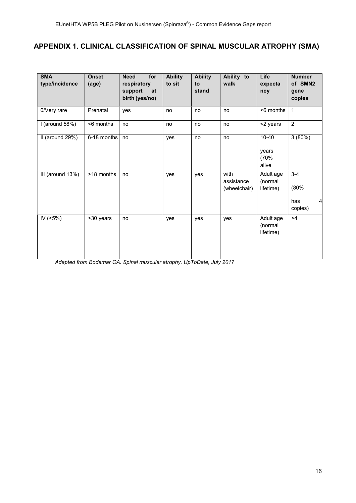# APPENDIX 1. CLINICAL CLASSIFICATION OF SPINAL MUSCULAR ATROPHY (SMA)

| <b>SMA</b><br>type/incidence | <b>Onset</b><br>(age) | for<br><b>Need</b><br>respiratory<br>support<br>at<br>birth (yes/no) | <b>Ability</b><br>to sit | <b>Ability</b><br>to<br>stand | Ability to<br>walk                 | Life<br>expecta<br>ncy              | <b>Number</b><br>of SMN2<br>gene<br>copies |
|------------------------------|-----------------------|----------------------------------------------------------------------|--------------------------|-------------------------------|------------------------------------|-------------------------------------|--------------------------------------------|
| 0/Very rare                  | Prenatal              | yes                                                                  | no                       | no                            | no                                 | <6 months                           | $\mathbf{1}$                               |
| I (around $58\%$ )           | <6 months             | no                                                                   | no                       | no                            | no                                 | <2 years                            | 2                                          |
| II (around 29%)              | 6-18 months           | no                                                                   | yes                      | no                            | no                                 | $10 - 40$<br>years<br>(70%<br>alive | 3(80%)                                     |
| III (around 13%)             | >18 months            | no                                                                   | yes                      | yes                           | with<br>assistance<br>(wheelchair) | Adult age<br>(normal<br>lifetime)   | $3 - 4$<br>(80%<br>has<br>4<br>copies)     |
| IV $(5\%)$                   | >30 years             | no                                                                   | yes                      | yes                           | yes                                | Adult age<br>(normal<br>lifetime)   | >4                                         |

Adapted from Bodamar OA. Spinal muscular atrophy. UpToDate, July 2017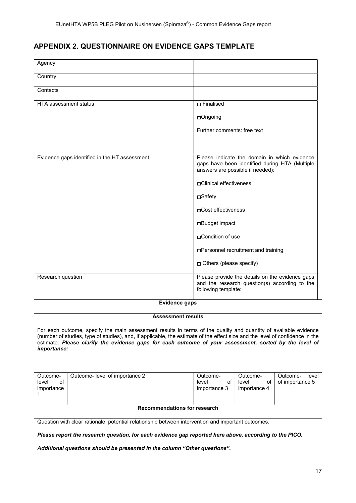# APPENDIX 2. QUESTIONNAIRE ON EVIDENCE GAPS TEMPLATE

| Agency                                                                                                                                                                                                                                                                                                                                                                    |                                                                                                    |                                                                                                                                    |                             |                   |  |  |  |
|---------------------------------------------------------------------------------------------------------------------------------------------------------------------------------------------------------------------------------------------------------------------------------------------------------------------------------------------------------------------------|----------------------------------------------------------------------------------------------------|------------------------------------------------------------------------------------------------------------------------------------|-----------------------------|-------------------|--|--|--|
| Country                                                                                                                                                                                                                                                                                                                                                                   |                                                                                                    |                                                                                                                                    |                             |                   |  |  |  |
|                                                                                                                                                                                                                                                                                                                                                                           |                                                                                                    |                                                                                                                                    |                             |                   |  |  |  |
| Contacts                                                                                                                                                                                                                                                                                                                                                                  |                                                                                                    |                                                                                                                                    |                             |                   |  |  |  |
| <b>HTA assessment status</b>                                                                                                                                                                                                                                                                                                                                              |                                                                                                    | <b>D</b> Finalised                                                                                                                 |                             |                   |  |  |  |
|                                                                                                                                                                                                                                                                                                                                                                           |                                                                                                    | □Ongoing                                                                                                                           |                             |                   |  |  |  |
|                                                                                                                                                                                                                                                                                                                                                                           |                                                                                                    | Further comments: free text                                                                                                        |                             |                   |  |  |  |
|                                                                                                                                                                                                                                                                                                                                                                           |                                                                                                    |                                                                                                                                    |                             |                   |  |  |  |
|                                                                                                                                                                                                                                                                                                                                                                           | Evidence gaps identified in the HT assessment                                                      | Please indicate the domain in which evidence<br>gaps have been identified during HTA (Multiple<br>answers are possible if needed): |                             |                   |  |  |  |
|                                                                                                                                                                                                                                                                                                                                                                           |                                                                                                    | □ Clinical effectiveness                                                                                                           |                             |                   |  |  |  |
|                                                                                                                                                                                                                                                                                                                                                                           |                                                                                                    | ⊟Safety                                                                                                                            |                             |                   |  |  |  |
|                                                                                                                                                                                                                                                                                                                                                                           |                                                                                                    | ⊓Cost effectiveness                                                                                                                |                             |                   |  |  |  |
|                                                                                                                                                                                                                                                                                                                                                                           |                                                                                                    | □Budget impact                                                                                                                     |                             |                   |  |  |  |
|                                                                                                                                                                                                                                                                                                                                                                           |                                                                                                    | □Condition of use                                                                                                                  |                             |                   |  |  |  |
|                                                                                                                                                                                                                                                                                                                                                                           |                                                                                                    | □Personnel recruitment and training                                                                                                |                             |                   |  |  |  |
|                                                                                                                                                                                                                                                                                                                                                                           |                                                                                                    | D Others (please specify)                                                                                                          |                             |                   |  |  |  |
| Research question                                                                                                                                                                                                                                                                                                                                                         |                                                                                                    | Please provide the details on the evidence gaps<br>and the research question(s) according to the<br>following template:            |                             |                   |  |  |  |
|                                                                                                                                                                                                                                                                                                                                                                           | <b>Evidence gaps</b>                                                                               |                                                                                                                                    |                             |                   |  |  |  |
|                                                                                                                                                                                                                                                                                                                                                                           | <b>Assessment results</b>                                                                          |                                                                                                                                    |                             |                   |  |  |  |
|                                                                                                                                                                                                                                                                                                                                                                           |                                                                                                    |                                                                                                                                    |                             |                   |  |  |  |
| For each outcome, specify the main assessment results in terms of the quality and quantity of available evidence<br>(number of studies, type of studies), and, if applicable, the estimate of the effect size and the level of confidence in the<br>estimate. Please clarify the evidence gaps for each outcome of your assessment, sorted by the level of<br>importance: |                                                                                                    |                                                                                                                                    |                             |                   |  |  |  |
| Outcome-                                                                                                                                                                                                                                                                                                                                                                  | Outcome- level of importance 2                                                                     | Outcome-                                                                                                                           | Outcome-                    | Outcome-<br>level |  |  |  |
| level<br>of<br>importance<br>1                                                                                                                                                                                                                                                                                                                                            |                                                                                                    | level<br>οf<br>importance 3                                                                                                        | level<br>οf<br>importance 4 | of importance 5   |  |  |  |
|                                                                                                                                                                                                                                                                                                                                                                           | <b>Recommendations for research</b>                                                                |                                                                                                                                    |                             |                   |  |  |  |
|                                                                                                                                                                                                                                                                                                                                                                           | Question with clear rationale: potential relationship between intervention and important outcomes. |                                                                                                                                    |                             |                   |  |  |  |
| Please report the research question, for each evidence gap reported here above, according to the PICO.                                                                                                                                                                                                                                                                    |                                                                                                    |                                                                                                                                    |                             |                   |  |  |  |
| Additional questions should be presented in the column "Other questions".                                                                                                                                                                                                                                                                                                 |                                                                                                    |                                                                                                                                    |                             |                   |  |  |  |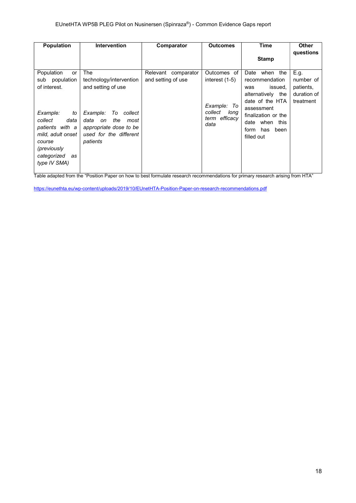| <b>Population</b>                                                                                                                       | <b>Intervention</b>                                                                                                 | Comparator                                | <b>Outcomes</b>                                            | Time                                                                                                                                | <b>Other</b>                   |
|-----------------------------------------------------------------------------------------------------------------------------------------|---------------------------------------------------------------------------------------------------------------------|-------------------------------------------|------------------------------------------------------------|-------------------------------------------------------------------------------------------------------------------------------------|--------------------------------|
|                                                                                                                                         |                                                                                                                     |                                           |                                                            | <b>Stamp</b>                                                                                                                        | questions                      |
| Population<br>or<br>population<br>sub<br>of interest.                                                                                   | The<br>technology/intervention<br>and setting of use                                                                | Relevant comparator<br>and setting of use | Outcomes of<br>interest $(1-5)$                            | when the<br>Date<br>recommendation<br>issued.<br>was                                                                                | E.g.<br>number of<br>patients, |
| Example:<br>to<br>collect<br>data<br>patients with a<br>mild, adult onset<br>course<br>(previously<br>categorized<br>as<br>type IV SMA) | Example:<br>To collect<br>data<br>the<br>on<br>most<br>appropriate dose to be<br>used for the different<br>patients |                                           | Example: To<br>collect<br>long<br>efficacy<br>term<br>data | alternatively the<br>date of the HTA<br>assessment<br>finalization or the<br>date when<br>this<br>form<br>has<br>been<br>filled out | duration of<br>treatment       |

Table adapted from the "Position Paper on how to best formulate research recommendations for primary research arising from HTA"

https://eunethta.eu/wp-content/uploads/2019/10/EUnetHTA-Position-Paper-on-research-recommendations.pdf